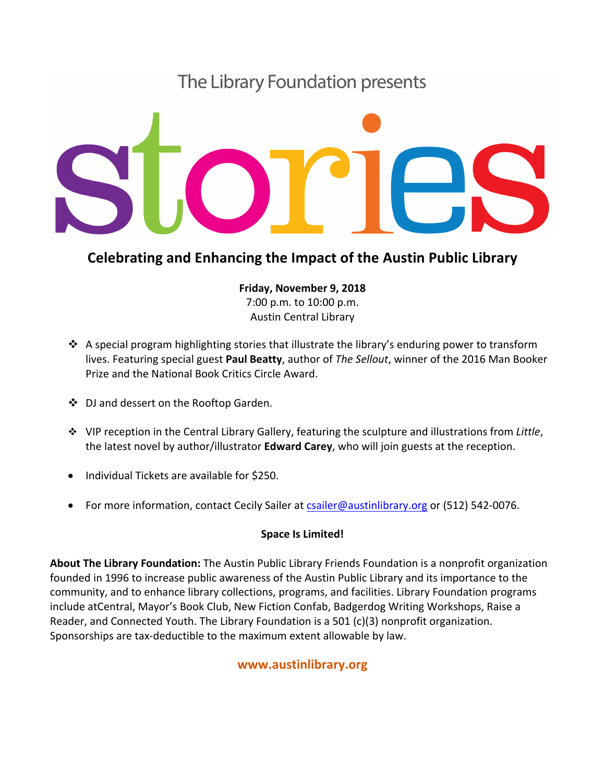# The Library Foundation presents



# **Celebrating and Enhancing the Impact of the Austin Public Library**

**Friday, November 9, 2018** 7:00 p.m. to 10:00 p.m. Austin Central Library

- $\cdot$  A special program highlighting stories that illustrate the library's enduring power to transform lives. Featuring special guest **Paul Beatty**, author of *The Sellout*, winner of the 2016 Man Booker Prize and the National Book Critics Circle Award.
- ◆ DJ and dessert on the Rooftop Garden.
- **→** VIP reception in the Central Library Gallery, featuring the sculpture and illustrations from Little, the latest novel by author/illustrator **Edward Carey**, who will join guests at the reception.
- Individual Tickets are available for \$250.
- For more information, contact Cecily Sailer at csailer@austinlibrary.org or (512) 542-0076.

## **Space Is Limited!**

**About The Library Foundation:** The Austin Public Library Friends Foundation is a nonprofit organization founded in 1996 to increase public awareness of the Austin Public Library and its importance to the community, and to enhance library collections, programs, and facilities. Library Foundation programs include atCentral, Mayor's Book Club, New Fiction Confab, Badgerdog Writing Workshops, Raise a Reader, and Connected Youth. The Library Foundation is a 501  $(c)(3)$  nonprofit organization. Sponsorships are tax-deductible to the maximum extent allowable by law.

# **www.austinlibrary.org**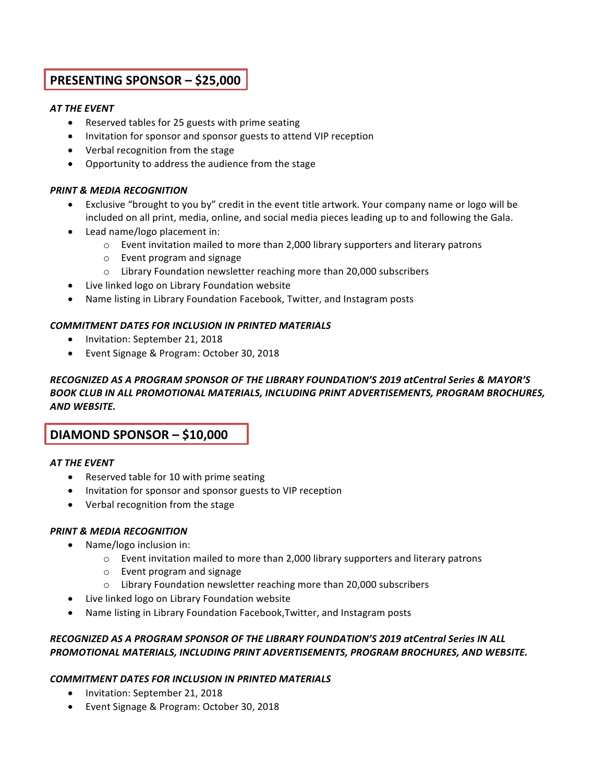# **PRESENTING SPONSOR - \$25,000**

#### **AT THE EVENT**

- Reserved tables for 25 guests with prime seating
- Invitation for sponsor and sponsor guests to attend VIP reception
- Verbal recognition from the stage
- Opportunity to address the audience from the stage

#### **PRINT & MEDIA RECOGNITION**

- Exclusive "brought to you by" credit in the event title artwork. Your company name or logo will be included on all print, media, online, and social media pieces leading up to and following the Gala.
- Lead name/logo placement in:
	- $\circ$  Event invitation mailed to more than 2,000 library supporters and literary patrons
	- $\circ$  Event program and signage
	- $\circ$  Library Foundation newsletter reaching more than 20,000 subscribers
- Live linked logo on Library Foundation website
- Name listing in Library Foundation Facebook, Twitter, and Instagram posts

#### **COMMITMENT DATES FOR INCLUSION IN PRINTED MATERIALS**

- Invitation: September 21, 2018
- Event Signage & Program: October 30, 2018

#### *RECOGNIZED AS A PROGRAM SPONSOR OF THE LIBRARY FOUNDATION'S 2019 atCentral Series & MAYOR'S BOOK CLUB IN ALL PROMOTIONAL MATERIALS, INCLUDING PRINT ADVERTISEMENTS, PROGRAM BROCHURES, AND WEBSITE.*

## **DIAMOND SPONSOR – \$10,000**

#### **AT THE EVENT**

- Reserved table for 10 with prime seating
- Invitation for sponsor and sponsor guests to VIP reception
- Verbal recognition from the stage

#### **PRINT & MEDIA RECOGNITION**

- $\bullet$  Name/logo inclusion in:
	- $\circ$  Event invitation mailed to more than 2,000 library supporters and literary patrons
	- $\circ$  Event program and signage
	- $\circ$  Library Foundation newsletter reaching more than 20,000 subscribers
- Live linked logo on Library Foundation website
- Name listing in Library Foundation Facebook, Twitter, and Instagram posts

#### *RECOGNIZED AS A PROGRAM SPONSOR OF THE LIBRARY FOUNDATION'S 2019 atCentral Series IN ALL PROMOTIONAL MATERIALS, INCLUDING PRINT ADVERTISEMENTS, PROGRAM BROCHURES, AND WEBSITE.*

#### **COMMITMENT DATES FOR INCLUSION IN PRINTED MATERIALS**

- Invitation: September 21, 2018
- Event Signage & Program: October 30, 2018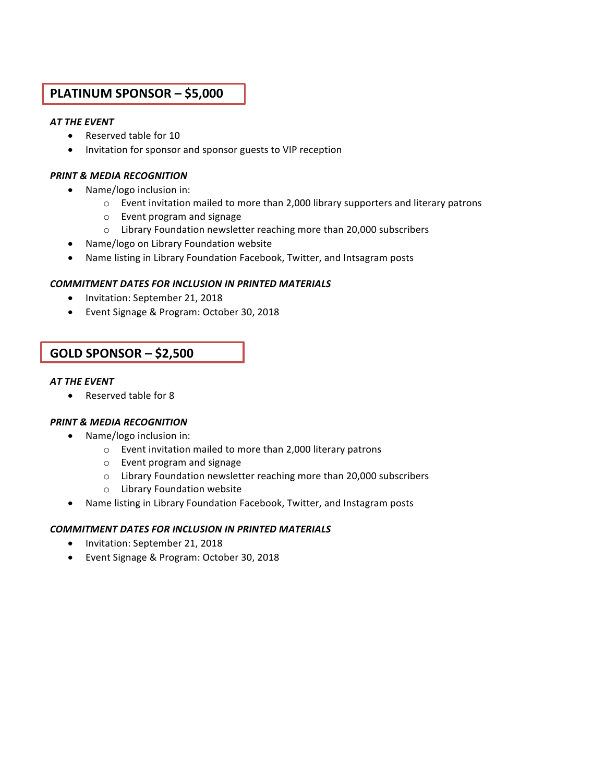# **PLATINUM SPONSOR – \$5,000**

#### **AT THE EVENT**

- Reserved table for 10
- Invitation for sponsor and sponsor guests to VIP reception

#### *PRINT & MEDIA RECOGNITION*

- Name/logo inclusion in:
	- $\circ$  Event invitation mailed to more than 2,000 library supporters and literary patrons
	- $\circ$  Event program and signage
	- $\circ$  Library Foundation newsletter reaching more than 20,000 subscribers
- Name/logo on Library Foundation website
- Name listing in Library Foundation Facebook, Twitter, and Intsagram posts

#### **COMMITMENT DATES FOR INCLUSION IN PRINTED MATERIALS**

- Invitation: September 21, 2018
- Event Signage & Program: October 30, 2018

# **GOLD SPONSOR – \$2,500**

#### **AT THE EVENT**

• Reserved table for 8

#### *PRINT & MEDIA RECOGNITION*

- Name/logo inclusion in:
	- $\circ$  Event invitation mailed to more than 2,000 literary patrons
	- $\circ$  Event program and signage
	- $\circ$  Library Foundation newsletter reaching more than 20,000 subscribers
	- o Library Foundation website
- Name listing in Library Foundation Facebook, Twitter, and Instagram posts

#### **COMMITMENT DATES FOR INCLUSION IN PRINTED MATERIALS**

- Invitation: September 21, 2018
- Event Signage & Program: October 30, 2018